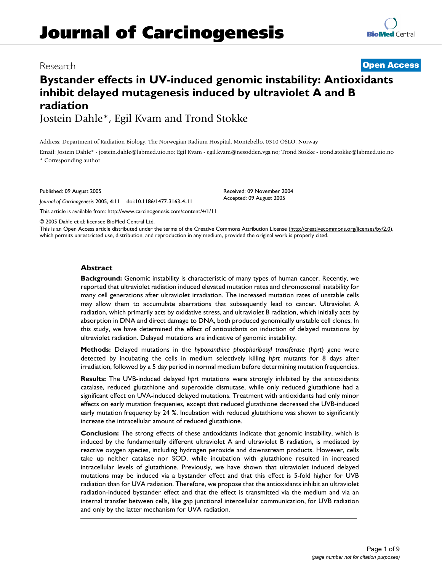# **Journal of Carcinogenesis**

### Research **[Open Access](http://www.biomedcentral.com/info/about/charter/)**

## **Bystander effects in UV-induced genomic instability: Antioxidants inhibit delayed mutagenesis induced by ultraviolet A and B radiation**

Jostein Dahle\*, Egil Kvam and Trond Stokke

Address: Department of Radiation Biology, The Norwegian Radium Hospital, Montebello, 0310 OSLO, Norway

Email: Jostein Dahle\* - jostein.dahle@labmed.uio.no; Egil Kvam - egil.kvam@nesodden.vgs.no; Trond Stokke - trond.stokke@labmed.uio.no \* Corresponding author

> Received: 09 November 2004 Accepted: 09 August 2005

Published: 09 August 2005

*Journal of Carcinogenesis* 2005, **4**:11 doi:10.1186/1477-3163-4-11

[This article is available from: http://www.carcinogenesis.com/content/4/1/11](http://www.carcinogenesis.com/content/4/1/11)

© 2005 Dahle et al; licensee BioMed Central Ltd.

This is an Open Access article distributed under the terms of the Creative Commons Attribution License [\(http://creativecommons.org/licenses/by/2.0\)](http://creativecommons.org/licenses/by/2.0), which permits unrestricted use, distribution, and reproduction in any medium, provided the original work is properly cited.

#### **Abstract**

**Background:** Genomic instability is characteristic of many types of human cancer. Recently, we reported that ultraviolet radiation induced elevated mutation rates and chromosomal instability for many cell generations after ultraviolet irradiation. The increased mutation rates of unstable cells may allow them to accumulate aberrations that subsequently lead to cancer. Ultraviolet A radiation, which primarily acts by oxidative stress, and ultraviolet B radiation, which initially acts by absorption in DNA and direct damage to DNA, both produced genomically unstable cell clones. In this study, we have determined the effect of antioxidants on induction of delayed mutations by ultraviolet radiation. Delayed mutations are indicative of genomic instability.

**Methods:** Delayed mutations in the *hypoxanthine phosphoribosyl transferase* (*hprt*) gene were detected by incubating the cells in medium selectively killing *hprt* mutants for 8 days after irradiation, followed by a 5 day period in normal medium before determining mutation frequencies.

**Results:** The UVB-induced delayed *hprt* mutations were strongly inhibited by the antioxidants catalase, reduced glutathione and superoxide dismutase, while only reduced glutathione had a significant effect on UVA-induced delayed mutations. Treatment with antioxidants had only minor effects on early mutation frequenies, except that reduced glutathione decreased the UVB-induced early mutation frequency by 24 %. Incubation with reduced glutathione was shown to significantly increase the intracellular amount of reduced glutathione.

**Conclusion:** The strong effects of these antioxidants indicate that genomic instability, which is induced by the fundamentally different ultraviolet A and ultraviolet B radiation, is mediated by reactive oxygen species, including hydrogen peroxide and downstream products. However, cells take up neither catalase nor SOD, while incubation with glutathione resulted in increased intracellular levels of glutathione. Previously, we have shown that ultraviolet induced delayed mutations may be induced via a bystander effect and that this effect is 5-fold higher for UVB radiation than for UVA radiation. Therefore, we propose that the antioxidants inhibit an ultraviolet radiation-induced bystander effect and that the effect is transmitted via the medium and via an internal transfer between cells, like gap junctional intercellular communication, for UVB radiation and only by the latter mechanism for UVA radiation.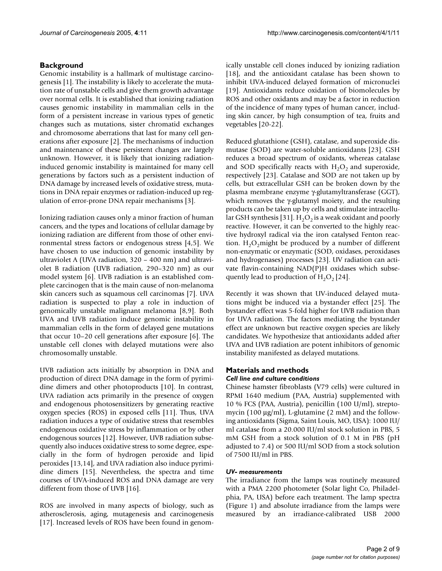#### **Background**

Genomic instability is a hallmark of multistage carcinogenesis [1]. The instability is likely to accelerate the mutation rate of unstable cells and give them growth advantage over normal cells. It is established that ionizing radiation causes genomic instability in mammalian cells in the form of a persistent increase in various types of genetic changes such as mutations, sister chromatid exchanges and chromosome aberrations that last for many cell generations after exposure [2]. The mechanisms of induction and maintenance of these persistent changes are largely unknown. However, it is likely that ionizing radiationinduced genomic instability is maintained for many cell generations by factors such as a persistent induction of DNA damage by increased levels of oxidative stress, mutations in DNA repair enzymes or radiation-induced up regulation of error-prone DNA repair mechanisms [3].

Ionizing radiation causes only a minor fraction of human cancers, and the types and locations of cellular damage by ionizing radiation are different from those of other environmental stress factors or endogenous stress [4,5]. We have chosen to use induction of genomic instability by ultraviolet A (UVA radiation, 320 – 400 nm) and ultraviolet B radiation (UVB radiation, 290–320 nm) as our model system [6]. UVB radiation is an established complete carcinogen that is the main cause of non-melanoma skin cancers such as squamous cell carcinomas [7]. UVA radiation is suspected to play a role in induction of genomically unstable malignant melanoma [8,9]. Both UVA and UVB radiation induce genomic instability in mammalian cells in the form of delayed gene mutations that occur 10–20 cell generations after exposure [6]. The unstable cell clones with delayed mutations were also chromosomally unstable.

UVB radiation acts initially by absorption in DNA and production of direct DNA damage in the form of pyrimidine dimers and other photoproducts [10]. In contrast, UVA radiation acts primarily in the presence of oxygen and endogenous photosensitizers by generating reactive oxygen species (ROS) in exposed cells [11]. Thus, UVA radiation induces a type of oxidative stress that resembles endogenous oxidative stress by inflammation or by other endogenous sources [12]. However, UVB radiation subsequently also induces oxidative stress to some degree, especially in the form of hydrogen peroxide and lipid peroxides [13,14], and UVA radiation also induce pyrimidine dimers [15]. Nevertheless, the spectra and time courses of UVA-induced ROS and DNA damage are very different from those of UVB [16].

ROS are involved in many aspects of biology, such as atherosclerosis, aging, mutagenesis and carcinogenesis [17]. Increased levels of ROS have been found in genomically unstable cell clones induced by ionizing radiation [18], and the antioxidant catalase has been shown to inhibit UVA-induced delayed formation of micronuclei [19]. Antioxidants reduce oxidation of biomolecules by ROS and other oxidants and may be a factor in reduction of the incidence of many types of human cancer, including skin cancer, by high consumption of tea, fruits and vegetables [20-22].

Reduced glutathione (GSH), catalase, and superoxide dismutase (SOD) are water-soluble antioxidants [23]. GSH reduces a broad spectrum of oxidants, whereas catalase and SOD specifically reacts with  $H_2O_2$  and superoxide, respectively [23]. Catalase and SOD are not taken up by cells, but extracellular GSH can be broken down by the plasma membrane enzyme γ-glutamyltransferase (GGT), which removes the γ-glutamyl moiety, and the resulting products can be taken up by cells and stimulate intracellular GSH synthesis [31].  $H_2O_2$  is a weak oxidant and poorly reactive. However, it can be converted to the highly reactive hydroxyl radical via the iron catalysed Fenton reaction.  $H_2O_2$  might be produced by a number of different non-enzymatic or enzymatic (SOD, oxidases, peroxidases and hydrogenases) processes [23]. UV radiation can activate flavin-containing NAD(P)H oxidases which subsequently lead to production of  $H_2O_2$  [\[24](#page-7-0)].

Recently it was shown that UV-induced delayed mutations might be induced via a bystander effect [25]. The bystander effect was 5-fold higher for UVB radiation than for UVA radiation. The factors mediating the bystander effect are unknown but reactive oxygen species are likely candidates. We hypothesize that antioxidants added after UVA and UVB radiation are potent inhibitors of genomic instability manifested as delayed mutations.

#### **Materials and methods** *Cell line and culture conditions*

Chinese hamster fibroblasts (V79 cells) were cultured in RPMI 1640 medium (PAA, Austria) supplemented with 10 % FCS (PAA, Austria), penicillin (100 U/ml), streptomycin (100  $\mu$ g/ml), L-glutamine (2 mM) and the following antioxidants (Sigma, Saint Louis, MO, USA): 1000 IU/ ml catalase from a 20.000 IU/ml stock solution in PBS, 5 mM GSH from a stock solution of 0.1 M in PBS (pH adjusted to 7.4) or 500 IU/ml SOD from a stock solution of 7500 IU/ml in PBS.

#### *UV- measurements*

The irradiance from the lamps was routinely measured with a PMA 2200 photometer (Solar light Co, Philadelphia, PA, USA) before each treatment. The lamp spectra (Figure 1) and absolute irradiance from the lamps were measured by an irradiance-calibrated USB 2000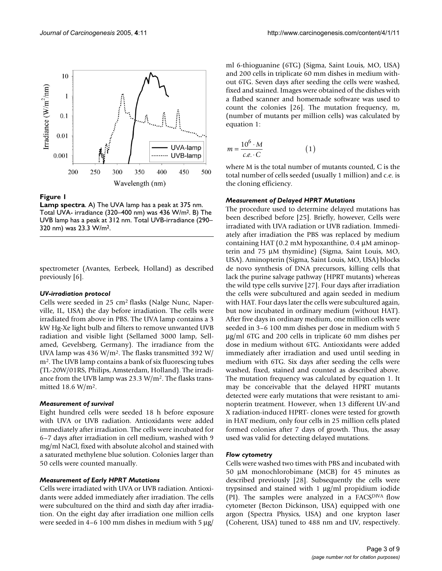

#### **Figure 1**

**Lamp spectra**. A) The UVA lamp has a peak at 375 nm. Total UVA- irradiance (320–400 nm) was 436 W/m2. B) The UVB lamp has a peak at 312 nm. Total UVB-irradiance (290– 320 nm) was 23.3 W/m2.

spectrometer (Avantes, Eerbeek, Holland) as described previously [6].

#### *UV-irradiation protocol*

Cells were seeded in 25 cm2 flasks (Nalge Nunc, Naperville, IL, USA) the day before irradiation. The cells were irradiated from above in PBS. The UVA lamp contains a 3 kW Hg-Xe light bulb and filters to remove unwanted UVB radiation and visible light (Sellamed 3000 lamp, Sellamed, Gevelsberg, Germany). The irradiance from the UVA lamp was 436 W/m2. The flasks transmitted 392 W/ m2. The UVB lamp contains a bank of six fluorescing tubes (TL-20W/01RS, Philips, Amsterdam, Holland). The irradiance from the UVB lamp was  $23.3 \text{ W/m}^2$ . The flasks transmitted 18.6 W/m2.

#### *Measurement of survival*

Eight hundred cells were seeded 18 h before exposure with UVA or UVB radiation. Antioxidants were added immediately after irradiation. The cells were incubated for 6–7 days after irradiation in cell medium, washed with 9 mg/ml NaCl, fixed with absolute alcohol and stained with a saturated methylene blue solution. Colonies larger than 50 cells were counted manually.

#### *Measurement of Early HPRT Mutations*

Cells were irradiated with UVA or UVB radiation. Antioxidants were added immediately after irradiation. The cells were subcultured on the third and sixth day after irradiation. On the eight day after irradiation one million cells were seeded in 4–6 100 mm dishes in medium with 5  $\mu$ g/

ml 6-thioguanine (6TG) (Sigma, Saint Louis, MO, USA) and 200 cells in triplicate 60 mm dishes in medium without 6TG. Seven days after seeding the cells were washed, fixed and stained. Images were obtained of the dishes with a flatbed scanner and homemade software was used to count the colonies [26]. The mutation frequency, m, (number of mutants per million cells) was calculated by equation 1:

$$
m = \frac{10^6 \cdot M}{c.e. \cdot C} \tag{1}
$$

where M is the total number of mutants counted, C is the total number of cells seeded (usually 1 million) and c.e. is the cloning efficiency.

#### *Measurement of Delayed HPRT Mutations*

The procedure used to determine delayed mutations has been described before [25]. Briefly, however, Cells were irradiated with UVA radiation or UVB radiation. Immediately after irradiation the PBS was replaced by medium containing HAT (0.2 mM hypoxanthine, 0.4 µM aminopterin and 75 µM thymidine) (Sigma, Saint Louis, MO, USA). Aminopterin (Sigma, Saint Louis, MO, USA) blocks de novo synthesis of DNA precursors, killing cells that lack the purine salvage pathway (HPRT mutants) whereas the wild type cells survive [27]. Four days after irradiation the cells were subcultured and again seeded in medium with HAT. Four days later the cells were subcultured again, but now incubated in ordinary medium (without HAT). After five days in ordinary medium, one million cells were seeded in 3–6 100 mm dishes per dose in medium with 5 µg/ml 6TG and 200 cells in triplicate 60 mm dishes per dose in medium without 6TG. Antioxidants were added immediately after irradiation and used until seeding in medium with 6TG. Six days after seeding the cells were washed, fixed, stained and counted as described above. The mutation frequency was calculated by equation 1. It may be conceivable that the delayed HPRT mutants detected were early mutations that were resistant to aminopterin treatment. However, when 13 different UV-and X radiation-induced HPRT- clones were tested for growth in HAT medium, only four cells in 25 million cells plated formed colonies after 7 days of growth. Thus, the assay used was valid for detecting delayed mutations.

#### *Flow cytometry*

Cells were washed two times with PBS and incubated with 50 µM monochlorobimane (MCB) for 45 minutes as described previously [28]. Subsequently the cells were trypsinsed and stained with 1 µg/ml propidium iodide (PI). The samples were analyzed in a FACSDIVA flow cytometer (Becton Dickinson, USA) equipped with one argon (Spectra Physics, USA) and one krypton laser (Coherent, USA) tuned to 488 nm and UV, respectively.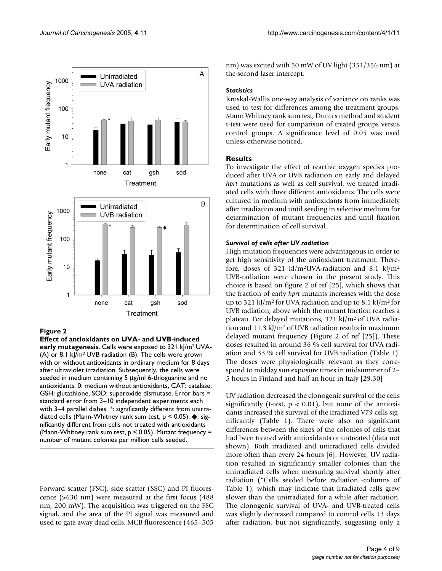

#### **Figure 2**

**Effect of antioxidants on UVA- and UVB-induced early mutagenesis**. Cells were exposed to 321 kJ/m2 UVA- (A) or 8.1 kJ/m2 UVB radiation (B). The cells were grown with or without antioxidants in ordinary medium for 8 days after ultraviolet irradiation. Subsequently, the cells were seeded in medium containing 5 µg/ml 6-thioguanine and no antioxidants. 0: medium without antioxidants, CAT: catalase, GSH: glutathione, SOD: superoxide dismutase. Error bars = standard error from 3–10 independent experiments each with 3-4 parallel dishes. \*: significantly different from unirradiated cells (Mann-Whitney rank sum test, p < 0.05). ◆: significantly different from cells not treated with antioxidants (Mann-Whitney rank sum test, p < 0.05). Mutant frequency = number of mutant colonies per million cells seeded.

Forward scatter (FSC), side scatter (SSC) and PI fluorescence (>630 nm) were measured at the first focus (488 nm, 200 mW). The acquisition was triggered on the FSC signal, and the area of the PI signal was measured and used to gate away dead cells. MCB fluorescence (465–505

nm) was excited with 50 mW of UV light (351/356 nm) at the second laser intercept.

#### *Statistics*

Kruskal-Wallis one-way analysis of variance on ranks was used to test for differences among the treatment groups. Mann Whitney rank sum test, Dunn's method and student t-test were used for comparison of treated groups versus control groups. A significance level of 0.05 was used unless otherwise noticed.

#### **Results**

To investigate the effect of reactive oxygen species produced after UVA or UVB radiation on early and delayed *hprt* mutations as well as cell survival, we treated irradiated cells with three different antioxidants. The cells were cultured in medium with antioxidants from immediately after irradiation and until seeding in selective medium for determination of mutant frequencies and until fixation for determination of cell survival.

#### *Survival of cells after UV radiation*

High mutation frequencies were advantageous in order to get high sensitivity of the antioxidant treatment. Therefore, doses of 321 kJ/m<sup>2</sup>UVA-radiation and 8.1 kJ/m<sup>2</sup> UVB-radiation were chosen in the present study. This choice is based on figure 2 of ref [25], which shows that the fraction of early *hprt* mutants increases with the dose up to 321 kJ/m<sup>2</sup> for UVA radiation and up to 8.1 kJ/m<sup>2</sup> for UVB radiation, above which the mutant fraction reaches a plateau. For delayed mutations, 321 kJ/m2 of UVA radiation and 11.3 kJ/m<sup>2</sup> of UVB radiation results in maximum delayed mutant frequency (Figure 2 of ref [25]). These doses resulted in around 36 % cell survival for UVA radiation and 33 % cell survival for UVB radiation (Table 1). The doses were physiologically relevant as they correspond to midday sun exposure times in midsummer of 2– 5 hours in Finland and half an hour in Italy [29,30]

UV radiation decreased the clonogenic survival of the cells significantly (t-test,  $p < 0.01$ ), but none of the antioxidants increased the survival of the irradiated V79 cells significantly (Table 1). There were also no significant differences between the sizes of the colonies of cells that had been treated with antioxidants or untreated (data not shown). Both irradiated and unirradiated cells divided more often than every 24 hours [6]. However, UV radiation resulted in significantly smaller colonies than the unirradiated cells when measuring survival shortly after radiation ("Cells seeded before radiation"-columns of Table 1), which may indicate that irradiated cells grew slower than the unirradiated for a while after radiation. The clonogenic survival of UVA- and UVB-treated cells was slightly decreased compared to control cells 13 days after radiation, but not significantly, suggesting only a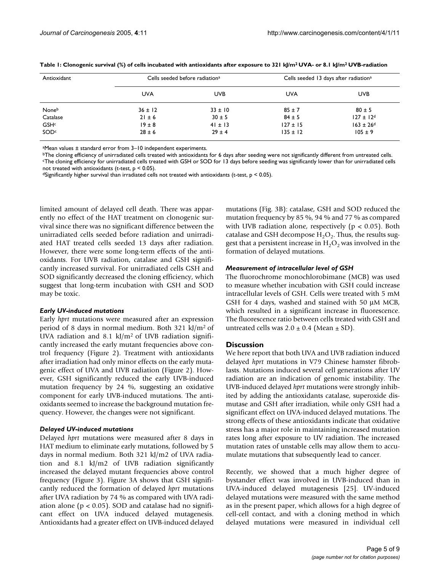| Antioxidant | Cells seeded before radiation <sup>a</sup> |             | Cells seeded 13 days after radiation <sup>a</sup> |                           |
|-------------|--------------------------------------------|-------------|---------------------------------------------------|---------------------------|
|             | <b>UVA</b>                                 | <b>UVB</b>  | <b>UVA</b>                                        | <b>UVB</b>                |
| Noneb       | $36 \pm 12$                                | $33 \pm 10$ | $85 \pm 7$                                        | $80 \pm 5$                |
| Catalase    | $21 \pm 6$                                 | $30 \pm 5$  | $84 \pm 5$                                        | $127 \pm 12^{d}$          |
| GSHc        | $19 \pm 8$                                 | $41 \pm 13$ | $127 \pm 15$                                      | $163 \pm 26$ <sup>d</sup> |
| SOD         | $28 \pm 6$                                 | $29 \pm 4$  | $135 \pm 12$                                      | $105 \pm 9$               |

**Table 1: Clonogenic survival (%) of cells incubated with antioxidants after exposure to 321 kJ/m2 UVA- or 8.1 kJ/m2 UVB-radiation**

aMean values ± standard error from 3–10 independent experiments.

bThe cloning efficiency of unirradiated cells treated with antioxidants for 6 days after seeding were not significantly different from untreated cells.

cThe cloning efficiency for unirradiated cells treated with GSH or SOD for 13 days before seeding was significantly lower than for unirradiated cells not treated with antioxidants (t-test, p < 0.05).

dSignificantly higher survival than irradiated cells not treated with antioxidants (t-test,  $p < 0.05$ ).

limited amount of delayed cell death. There was apparently no effect of the HAT treatment on clonogenic survival since there was no significant difference between the unirradiated cells seeded before radiation and unirradiated HAT treated cells seeded 13 days after radiation. However, there were some long-term effects of the antioxidants. For UVB radiation, catalase and GSH significantly increased survival. For unirradiated cells GSH and SOD significantly decreased the cloning efficiency, which suggest that long-term incubation with GSH and SOD may be toxic.

#### *Early UV-induced mutations*

Early *hprt* mutations were measured after an expression period of 8 days in normal medium. Both 321 kJ/m2 of UVA radiation and  $8.1 \text{ kJ/m}^2$  of UVB radiation significantly increased the early mutant frequencies above control frequency (Figure 2). Treatment with antioxidants after irradiation had only minor effects on the early mutagenic effect of UVA and UVB radiation (Figure 2). However, GSH significantly reduced the early UVB-induced mutation frequency by 24 %, suggesting an oxidative component for early UVB-induced mutations. The antioxidants seemed to increase the background mutation frequency. However, the changes were not significant.

#### *Delayed UV-induced mutations*

Delayed *hprt* mutations were measured after 8 days in HAT medium to eliminate early mutations, followed by 5 days in normal medium. Both 321 kJ/m2 of UVA radiation and 8.1 kJ/m2 of UVB radiation significantly increased the delayed mutant frequencies above control frequency (Figure 3). Figure 3A shows that GSH significantly reduced the formation of delayed *hprt* mutations after UVA radiation by 74 % as compared with UVA radiation alone ( $p < 0.05$ ). SOD and catalase had no significant effect on UVA induced delayed mutagenesis. Antioxidants had a greater effect on UVB-induced delayed mutations (Fig. 3B): catalase, GSH and SOD reduced the mutation frequency by 85 %, 94 % and 77 % as compared with UVB radiation alone, respectively ( $p < 0.05$ ). Both catalase and GSH decompose  $H_2O_2$ . Thus, the results suggest that a persistent increase in  $H_2O_2$  was involved in the formation of delayed mutations.

#### *Measurement of intracellular level of GSH*

The fluorochrome monochlorobimane (MCB) was used to measure whether incubation with GSH could increase intracellular levels of GSH. Cells were treated with 5 mM GSH for 4 days, washed and stained with 50 µM MCB, which resulted in a significant increase in fluorescence. The fluorescence ratio between cells treated with GSH and untreated cells was  $2.0 \pm 0.4$  (Mean  $\pm$  SD).

#### **Discussion**

We here report that both UVA and UVB radiation induced delayed *hprt* mutations in V79 Chinese hamster fibroblasts. Mutations induced several cell generations after UV radiation are an indication of genomic instability. The UVB-induced delayed *hprt* mutations were strongly inhibited by adding the antioxidants catalase, superoxide dismutase and GSH after irradiation, while only GSH had a significant effect on UVA-induced delayed mutations. The strong effects of these antioxidants indicate that oxidative stress has a major role in maintaining increased mutation rates long after exposure to UV radiation. The increased mutation rates of unstable cells may allow them to accumulate mutations that subsequently lead to cancer.

Recently, we showed that a much higher degree of bystander effect was involved in UVB-induced than in UVA-induced delayed mutagenesis [25]. UV-induced delayed mutations were measured with the same method as in the present paper, which allows for a high degree of cell-cell contact, and with a cloning method in which delayed mutations were measured in individual cell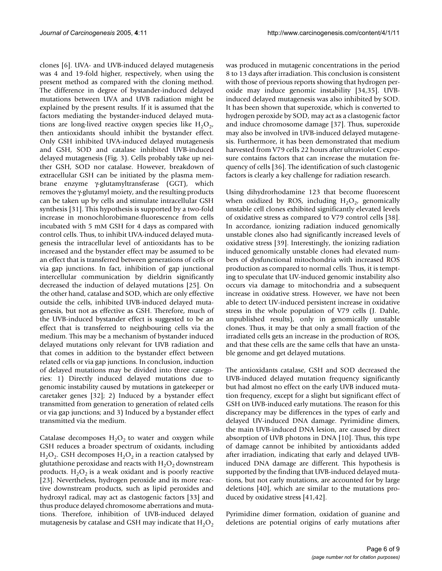clones [6]. UVA- and UVB-induced delayed mutagenesis was 4 and 19-fold higher, respectively, when using the present method as compared with the cloning method. The difference in degree of bystander-induced delayed mutations between UVA and UVB radiation might be explained by the present results. If it is assumed that the factors mediating the bystander-induced delayed mutations are long-lived reactive oxygen species like  $H_2O_2$ , then antioxidants should inhibit the bystander effect. Only GSH inhibited UVA-induced delayed mutagenesis and GSH, SOD and catalase inhibited UVB-induced delayed mutagenesis (Fig. 3). Cells probably take up neither GSH, SOD nor catalase. However, breakdown of extracellular GSH can be initiated by the plasma membrane enzyme γ-glutamyltransferase (GGT), which removes the γ-glutamyl moiety, and the resulting products can be taken up by cells and stimulate intracellular GSH synthesis [31]. This hypothesis is supported by a two-fold increase in monochlorobimane-fluorescence from cells incubated with 5 mM GSH for 4 days as compared with control cells. Thus, to inhibit UVA-induced delayed mutagenesis the intracellular level of antioxidants has to be increased and the bystander effect may be assumed to be an effect that is transferred between generations of cells or via gap junctions. In fact, inhibition of gap junctional intercellular communication by dieldrin significantly decreased the induction of delayed mutations [25]. On the other hand, catalase and SOD, which are only effective outside the cells, inhibited UVB-induced delayed mutagenesis, but not as effective as GSH. Therefore, much of the UVB-induced bystander effect is suggested to be an effect that is transferred to neighbouring cells via the medium. This may be a mechanism of bystander induced delayed mutations only relevant for UVB radiation and that comes in addition to the bystander effect between related cells or via gap junctions. In conclusion, induction of delayed mutations may be divided into three categories: 1) Directly induced delayed mutations due to genomic instability caused by mutations in gatekeeper or caretaker genes [32]; 2) Induced by a bystander effect transmitted from generation to generation of related cells or via gap junctions; and 3) Induced by a bystander effect transmitted via the medium.

Catalase decomposes  $H_2O_2$  to water and oxygen while GSH reduces a broader spectrum of oxidants, including  $H_2O_2$ . GSH decomposes  $H_2O_2$  in a reaction catalysed by glutathione peroxidase and reacts with  $H_2O_2$  downstream products.  $H_2O_2$  is a weak oxidant and is poorly reactive [23]. Nevertheless, hydrogen peroxide and its more reactive downstream products, such as lipid peroxides and hydroxyl radical, may act as clastogenic factors [33] and thus produce delayed chromosome aberrations and mutations. Therefore, inhibition of UVB-induced delayed mutagenesis by catalase and GSH may indicate that  $H_2O_2$ 

was produced in mutagenic concentrations in the period 8 to 13 days after irradiation. This conclusion is consistent with those of previous reports showing that hydrogen peroxide may induce genomic instability [34,35]. UVBinduced delayed mutagenesis was also inhibited by SOD. It has been shown that superoxide, which is converted to hydrogen peroxide by SOD, may act as a clastogenic factor and induce chromosome damage [37]. Thus, superoxide may also be involved in UVB-induced delayed mutagenesis. Furthermore, it has been demonstrated that medium harvested from V79 cells 22 hours after ultraviolet C exposure contains factors that can increase the mutation frequency of cells [36]. The identification of such clastogenic factors is clearly a key challenge for radiation research.

Using dihydrorhodamine 123 that become fluorescent when oxidized by ROS, including  $H_2O_2$ , genomically unstable cell clones exhibited significantly elevated levels of oxidative stress as compared to V79 control cells [38]. In accordance, ionizing radiation induced genomically unstable clones also had significantly increased levels of oxidative stress [39]. Interestingly, the ionizing radiation induced genomically unstable clones had elevated numbers of dysfunctional mitochondria with increased ROS production as compared to normal cells. Thus, it is tempting to speculate that UV-induced genomic instability also occurs via damage to mitochondria and a subsequent increase in oxidative stress. However, we have not been able to detect UV-induced persistent increase in oxidative stress in the whole population of V79 cells (J. Dahle, unpublished results), only in genomically unstable clones. Thus, it may be that only a small fraction of the irradiated cells gets an increase in the production of ROS, and that these cells are the same cells that have an unstable genome and get delayed mutations.

The antioxidants catalase, GSH and SOD decreased the UVB-induced delayed mutation frequency significantly but had almost no effect on the early UVB induced mutation frequency, except for a slight but significant effect of GSH on UVB-induced early mutations. The reason for this discrepancy may be differences in the types of early and delayed UV-induced DNA damage. Pyrimidine dimers, the main UVB-induced DNA lesion, are caused by direct absorption of UVB photons in DNA [10]. Thus, this type of damage cannot be inhibited by antioxidants added after irradiation, indicating that early and delayed UVBinduced DNA damage are different. This hypothesis is supported by the finding that UVB-induced delayed mutations, but not early mutations, are accounted for by large deletions [40], which are similar to the mutations produced by oxidative stress [41,42].

Pyrimidine dimer formation, oxidation of guanine and deletions are potential origins of early mutations after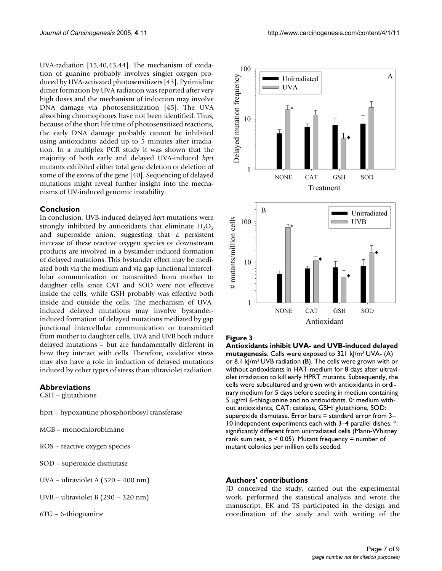UVA-radiation [15,40,43,44]. The mechanism of oxidation of guanine probably involves singlet oxygen produced by UVA-activated photosensitizers [43]. Pyrimidine dimer formation by UVA radiation was reported after very high doses and the mechanism of induction may involve DNA damage via photosensitization [45]. The UVA absorbing chromophores have not been identified. Thus, because of the short life time of photosensitized reactions, the early DNA damage probably cannot be inhibited using antioxidants added up to 5 minutes after irradiation. In a multiplex PCR study it was shown that the majority of both early and delayed UVA-induced *hprt* mutants exhibited either total gene deletion or deletion of some of the exons of the gene [40]. Sequencing of delayed mutations might reveal further insight into the mechanisms of UV-induced genomic instability.

#### **Conclusion**

In conclusion, UVB-induced delayed *hprt* mutations were strongly inhibited by antioxidants that eliminate  $H_2O_2$ and superoxide anion, suggesting that a persistent increase of these reactive oxygen species or downstream products are involved in a bystander-induced formation of delayed mutations. This bystander effect may be mediated both via the medium and via gap junctional intercellular communication or transmitted from mother to daughter cells since CAT and SOD were not effective inside the cells, while GSH probably was effective both inside and outside the cells. The mechanism of UVAinduced delayed mutations may involve bystanderinduced formation of delayed mutations mediated by gap junctional intercellular communication or transmitted from mother to daughter cells. UVA and UVB both induce delayed mutations – but are fundamentally different in how they interact with cells. Therefore, oxidative stress may also have a role in induction of delayed mutations induced by other types of stress than ultraviolet radiation.

#### **Abbreviations**

GSH – glutathione

- hprt hypoxantine phosphoribosyl transferase
- MCB monochlorobimane
- ROS reactive oxygen species
- SOD superoxide dismutase
- UVA ultraviolet A (320 400 nm)
- UVB ultraviolet B (290 320 nm)
- 6TG 6-thioguanine



#### **Figure 3**

**Antioxidants inhibit UVA- and UVB-induced delayed mutagenesis**. Cells were exposed to 321 kJ/m2 UVA- (A) or 8.1 kJ/m2 UVB radiation (B). The cells were grown with or without antioxidants in HAT-medium for 8 days after ultraviolet irradiation to kill early HPRT mutants. Subsequently, the cells were subcultured and grown with antioxidants in ordinary medium for 5 days before seeding in medium containing 5 µg/ml 6-thioguanine and no antioxidants. 0: medium without antioxidants, CAT: catalase, GSH: glutathione, SOD: superoxide dismutase. Error bars = standard error from 3– 10 independent experiments each with 3–4 parallel dishes. \*: significantly different from unirradiated cells (Mann-Whitney rank sum test,  $p < 0.05$ ). Mutant frequency = number of mutant colonies per million cells seeded.

#### **Authors' contributions**

JD conceived the study, carried out the experimental work, performed the statistical analysis and wrote the manuscript. EK and TS participated in the design and coordination of the study and with writing of the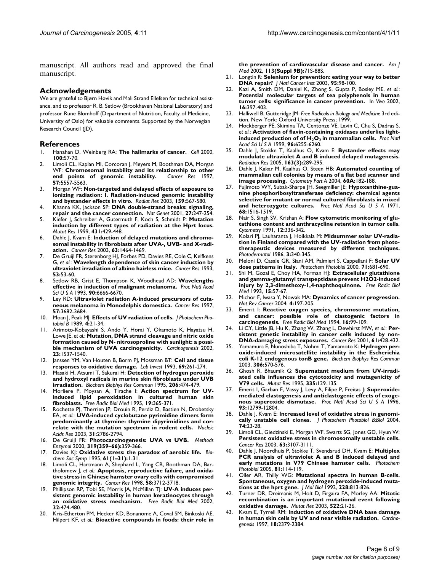manuscript. All authors read and approved the final manuscript.

#### **Acknowledgements**

We are grateful to Bjørn Høvik and Mali Strand Ellefsen for technical assistance, and to professor R. B. Setlow (Brookhaven National Laboratory) and professor Rune Blomhoff (Department of Nutrition, Faculty of Medicine, University of Oslo) for valuable comments. Supported by the Norwegian Research Council (JD).

#### **References**

- 1. Hanahan D, Weinberg RA: **[The hallmarks of cancer.](http://www.ncbi.nlm.nih.gov/entrez/query.fcgi?cmd=Retrieve&db=PubMed&dopt=Abstract&list_uids=10647931)** *Cell* 2000, **100:**57-70.
- 2. Limoli CL, Kaplan MI, Corcoran J, Meyers M, Boothman DA, Morgan WF: **[Chromosomal instability and its relationship to other](http://www.ncbi.nlm.nih.gov/entrez/query.fcgi?cmd=Retrieve&db=PubMed&dopt=Abstract&list_uids=9407967)**<br>end points of genomic instability. *Cancer Res* 1997, [end points of genomic instability.](http://www.ncbi.nlm.nih.gov/entrez/query.fcgi?cmd=Retrieve&db=PubMed&dopt=Abstract&list_uids=9407967) **57:**5557-5563.
- 3. Morgan WF: **[Non-targeted and delayed effects of exposure to](http://www.ncbi.nlm.nih.gov/entrez/query.fcgi?cmd=Retrieve&db=PubMed&dopt=Abstract&list_uids=12710868) [ionizing radiation: I. Radiation-induced genomic instability](http://www.ncbi.nlm.nih.gov/entrez/query.fcgi?cmd=Retrieve&db=PubMed&dopt=Abstract&list_uids=12710868) [and bystander effects in vitro.](http://www.ncbi.nlm.nih.gov/entrez/query.fcgi?cmd=Retrieve&db=PubMed&dopt=Abstract&list_uids=12710868)** *Radiat Res* 2003, **159:**567-580.
- 4. Khanna KK, Jackson SP: **[DNA double-strand breaks: signaling,](http://www.ncbi.nlm.nih.gov/entrez/query.fcgi?cmd=Retrieve&db=PubMed&dopt=Abstract&list_uids=11242102) [repair and the cancer connection.](http://www.ncbi.nlm.nih.gov/entrez/query.fcgi?cmd=Retrieve&db=PubMed&dopt=Abstract&list_uids=11242102)** *Nat Genet* 2001, **27:**247-254.
- 5. Kiefer J, Schreiber A, Gutermuth F, Koch S, Schmidt P: **[Mutation](http://www.ncbi.nlm.nih.gov/entrez/query.fcgi?cmd=Retrieve&db=PubMed&dopt=Abstract&list_uids=10636006) [induction by different types of radiation at the Hprt locus.](http://www.ncbi.nlm.nih.gov/entrez/query.fcgi?cmd=Retrieve&db=PubMed&dopt=Abstract&list_uids=10636006)** *Mutat Res* 1999, **431:**429-448.
- 6. Dahle J, Kvam E: **[Induction of delayed mutations and chromo](http://www.ncbi.nlm.nih.gov/entrez/query.fcgi?cmd=Retrieve&db=PubMed&dopt=Abstract&list_uids=12670891)[somal instability in fibroblasts after UVA-, UVB- and X-radi](http://www.ncbi.nlm.nih.gov/entrez/query.fcgi?cmd=Retrieve&db=PubMed&dopt=Abstract&list_uids=12670891)[ation.](http://www.ncbi.nlm.nih.gov/entrez/query.fcgi?cmd=Retrieve&db=PubMed&dopt=Abstract&list_uids=12670891)** *Cancer Res* 2003, **63:**1464-1469.
- 7. De Gruijl FR, Sterenborg HJ, Forbes PD, Davies RE, Cole C, Kelfkens G, *et al.*: **[Wavelength dependence of skin cancer induction by](http://www.ncbi.nlm.nih.gov/entrez/query.fcgi?cmd=Retrieve&db=PubMed&dopt=Abstract&list_uids=8416751) [ultraviolet irradiation of albino hairless mice.](http://www.ncbi.nlm.nih.gov/entrez/query.fcgi?cmd=Retrieve&db=PubMed&dopt=Abstract&list_uids=8416751)** *Cancer Res* 1993, **53:**53-60.
- 8. Setlow RB, Grist E, Thompson K, Woodhead AD: **[Wavelengths](http://www.ncbi.nlm.nih.gov/entrez/query.fcgi?cmd=Retrieve&db=PubMed&dopt=Abstract&list_uids=8341684) [effective in induction of malignant melanoma.](http://www.ncbi.nlm.nih.gov/entrez/query.fcgi?cmd=Retrieve&db=PubMed&dopt=Abstract&list_uids=8341684)** *Proc Natl Acad Sci U S A* 1993, **90:**6666-6670.
- 9. Ley RD: **[Ultraviolet radiation A-induced precursors of cuta](http://www.ncbi.nlm.nih.gov/entrez/query.fcgi?cmd=Retrieve&db=PubMed&dopt=Abstract&list_uids=9288772)[neous melanoma in Monodelphis domestica.](http://www.ncbi.nlm.nih.gov/entrez/query.fcgi?cmd=Retrieve&db=PubMed&dopt=Abstract&list_uids=9288772)** *Cancer Res* 1997, **57:**3682-3684.
- 10. Moan J, Peak MJ: **[Effects of UV radiation of cells.](http://www.ncbi.nlm.nih.gov/entrez/query.fcgi?cmd=Retrieve&db=PubMed&dopt=Abstract&list_uids=2509659)** *J Photochem Photobiol B* 1989, **4:**21-34.
- 11. Arimoto-Kobayashi S, Ando Y, Horai Y, Okamoto K, Hayatsu H, Lowe JE, *et al.*: **[Mutation, DNA strand cleavage and nitric oxide](http://www.ncbi.nlm.nih.gov/entrez/query.fcgi?cmd=Retrieve&db=PubMed&dopt=Abstract&list_uids=12189198) [formation caused by N- nitrosoproline with sunlight: a possi](http://www.ncbi.nlm.nih.gov/entrez/query.fcgi?cmd=Retrieve&db=PubMed&dopt=Abstract&list_uids=12189198)[ble mechanism of UVA carcinogenicity.](http://www.ncbi.nlm.nih.gov/entrez/query.fcgi?cmd=Retrieve&db=PubMed&dopt=Abstract&list_uids=12189198)** *Carcinogenesis* 2002, **23:**1537-1540.
- 12. Janssen YM, Van Houten B, Borm PJ, Mossman BT: **[Cell and tissue](http://www.ncbi.nlm.nih.gov/entrez/query.fcgi?cmd=Retrieve&db=PubMed&dopt=Abstract&list_uids=8377469) [responses to oxidative damage.](http://www.ncbi.nlm.nih.gov/entrez/query.fcgi?cmd=Retrieve&db=PubMed&dopt=Abstract&list_uids=8377469)** *Lab Invest* 1993, **69:**261-274.
- 13. Masaki H, Atsumi T, Sakurai H: **[Detection of hydrogen peroxide](http://www.ncbi.nlm.nih.gov/entrez/query.fcgi?cmd=Retrieve&db=PubMed&dopt=Abstract&list_uids=7826364) [and hydroxyl radicals in murine skin fibroblasts under UVB](http://www.ncbi.nlm.nih.gov/entrez/query.fcgi?cmd=Retrieve&db=PubMed&dopt=Abstract&list_uids=7826364) [irradiation.](http://www.ncbi.nlm.nih.gov/entrez/query.fcgi?cmd=Retrieve&db=PubMed&dopt=Abstract&list_uids=7826364)** *Biochem Biophys Res Commun* 1995, **206:**474-479.
- 14. Morliere P, Moysan A, Tirache I: **[Action spectrum for UV](http://www.ncbi.nlm.nih.gov/entrez/query.fcgi?cmd=Retrieve&db=PubMed&dopt=Abstract&list_uids=7557551)[induced lipid peroxidation in cultured human skin](http://www.ncbi.nlm.nih.gov/entrez/query.fcgi?cmd=Retrieve&db=PubMed&dopt=Abstract&list_uids=7557551) [fibroblasts.](http://www.ncbi.nlm.nih.gov/entrez/query.fcgi?cmd=Retrieve&db=PubMed&dopt=Abstract&list_uids=7557551)** *Free Radic Biol Med* 1995, **19:**365-371.
- 15. Rochette PJ, Therrien JP, Drouin R, Perdiz D, Bastien N, Drobetsky EA, *et al.*: **[UVA-induced cyclobutane pyrimidine dimers form](http://www.ncbi.nlm.nih.gov/entrez/query.fcgi?cmd=Retrieve&db=PubMed&dopt=Abstract&list_uids=12771205) [predominantly at thymine- thymine dipyrimidines and cor](http://www.ncbi.nlm.nih.gov/entrez/query.fcgi?cmd=Retrieve&db=PubMed&dopt=Abstract&list_uids=12771205)[relate with the mutation spectrum in rodent cells.](http://www.ncbi.nlm.nih.gov/entrez/query.fcgi?cmd=Retrieve&db=PubMed&dopt=Abstract&list_uids=12771205)** *Nucleic Acids Res* 2003, **31:**2786-2794.
- 16. De Gruijl FR: **[Photocarcinogenesis: UVA vs UVB.](http://www.ncbi.nlm.nih.gov/entrez/query.fcgi?cmd=Retrieve&db=PubMed&dopt=Abstract&list_uids=10907526)** *Methods Enzymol* 2000, **319(359–66):**359-366.
- 17. Davies KJ: **[Oxidative stress: the paradox of aerobic life.](http://www.ncbi.nlm.nih.gov/entrez/query.fcgi?cmd=Retrieve&db=PubMed&dopt=Abstract&list_uids=8660387)** *Biochem Soc Symp* 1995, **61(1–31):**1-31.
- 18. Limoli CL, Hartmann A, Shephard L, Yang CR, Boothman DA, Bartholomew J, *et al.*: **[Apoptosis, reproductive failure, and oxida](http://www.ncbi.nlm.nih.gov/entrez/query.fcgi?cmd=Retrieve&db=PubMed&dopt=Abstract&list_uids=9721883)[tive stress in Chinese hamster ovary cells with compromised](http://www.ncbi.nlm.nih.gov/entrez/query.fcgi?cmd=Retrieve&db=PubMed&dopt=Abstract&list_uids=9721883) [genomic integrity.](http://www.ncbi.nlm.nih.gov/entrez/query.fcgi?cmd=Retrieve&db=PubMed&dopt=Abstract&list_uids=9721883)** *Cancer Res* 1998, **58:**3712-3718.
- 19. Phillipson RP, Tobi SE, Morris JA, McMillan TJ: **[UV-A induces per](http://www.ncbi.nlm.nih.gov/entrez/query.fcgi?cmd=Retrieve&db=PubMed&dopt=Abstract&list_uids=11864787)[sistent genomic instability in human keratinocytes through](http://www.ncbi.nlm.nih.gov/entrez/query.fcgi?cmd=Retrieve&db=PubMed&dopt=Abstract&list_uids=11864787) [an oxidative stress mechanism.](http://www.ncbi.nlm.nih.gov/entrez/query.fcgi?cmd=Retrieve&db=PubMed&dopt=Abstract&list_uids=11864787)** *Free Radic Biol Med* 2002, **32:**474-480.
- Kris-Etherton PM, Hecker KD, Bonanome A, Coval SM, Binkoski AE, Hilpert KF, *et al.*: **[Bioactive compounds in foods: their role in](http://www.ncbi.nlm.nih.gov/entrez/query.fcgi?cmd=Retrieve&db=PubMed&dopt=Abstract&list_uids=12566142)**

**[the prevention of cardiovascular disease and cancer.](http://www.ncbi.nlm.nih.gov/entrez/query.fcgi?cmd=Retrieve&db=PubMed&dopt=Abstract&list_uids=12566142)** *Am J Med* 2002, **113(Suppl 9B):**71S-88S.

- 21. Longtin R: **[Selenium for prevention: eating your way to better](http://www.ncbi.nlm.nih.gov/entrez/query.fcgi?cmd=Retrieve&db=PubMed&dopt=Abstract&list_uids=12529339) [DNA repair?](http://www.ncbi.nlm.nih.gov/entrez/query.fcgi?cmd=Retrieve&db=PubMed&dopt=Abstract&list_uids=12529339)** *J Natl Cancer Inst* 2003, **95:**98-100.
- 22. Kazi A, Smith DM, Daniel K, Zhong S, Gupta P, Bosley ME, *et al.*: **[Potential molecular targets of tea polyphenols in human](http://www.ncbi.nlm.nih.gov/entrez/query.fcgi?cmd=Retrieve&db=PubMed&dopt=Abstract&list_uids=12494882) [tumor cells: significance in cancer prevention.](http://www.ncbi.nlm.nih.gov/entrez/query.fcgi?cmd=Retrieve&db=PubMed&dopt=Abstract&list_uids=12494882)** In *Vivo* 2002, **16:**397-403.
- 23. Halliwell B, Gutteridge JM: *Free Radicals in Biology and Medicine* 3rd edition. New York: Oxford University Press; 1999.
- <span id="page-7-0"></span>24. Hockberger PE, Skimina TA, Centonze VE, Lavin C, Chu S, Dadras S, *et al.*: **Activation of flavin-containing oxidases underlies lightinduced production of of H<sub>2</sub>O<sub>2</sub>** [in mammalian cells.](http://www.ncbi.nlm.nih.gov/entrez/query.fcgi?cmd=Retrieve&db=PubMed&dopt=Abstract&list_uids=10339574) Proc Natl *Acad Sci U S A* 1999, **96:**6255-6260.
- 25. Dahle J, Stokke T, Kaalhus O, Kvam E: **[Bystander effects may](http://www.ncbi.nlm.nih.gov/entrez/query.fcgi?cmd=Retrieve&db=PubMed&dopt=Abstract&list_uids=15733036) [modulate ultraviolet A and B induced delayed mutagenesis.](http://www.ncbi.nlm.nih.gov/entrez/query.fcgi?cmd=Retrieve&db=PubMed&dopt=Abstract&list_uids=15733036)** *Radiation Res* 2005, **163(3):**289-295.
- 26. Dahle J, Kakar M, Kaalhus O, Steen HB: **Automated counting of mammalian cell colonies by means of a flat bed scanner and image processing.** *Cytometry Part A* 2004, **60A:**182-188.
- 27. Fujimoto WY, Subak-Sharpe JH, Seegmiller JE: **[Hypoxanthine-gua](http://www.ncbi.nlm.nih.gov/entrez/query.fcgi?cmd=Retrieve&db=PubMed&dopt=Abstract&list_uids=5283941)nine phosphoribosyltransferase deficiency: chemical agents [selective for mutant or normal cultured fibroblasts in mixed](http://www.ncbi.nlm.nih.gov/entrez/query.fcgi?cmd=Retrieve&db=PubMed&dopt=Abstract&list_uids=5283941) [and heterozygote cultures.](http://www.ncbi.nlm.nih.gov/entrez/query.fcgi?cmd=Retrieve&db=PubMed&dopt=Abstract&list_uids=5283941)** *Proc Natl Acad Sci U S A* 1971, **68:**1516-1519.
- 28. Nair S, Singh SV, Krishan A: **[Flow cytometric monitoring of glu](http://www.ncbi.nlm.nih.gov/entrez/query.fcgi?cmd=Retrieve&db=PubMed&dopt=Abstract&list_uids=1648468)[tathione content and anthracycline retention in tumor cells.](http://www.ncbi.nlm.nih.gov/entrez/query.fcgi?cmd=Retrieve&db=PubMed&dopt=Abstract&list_uids=1648468)** *Cytometry* 1991, **12:**336-342.
- 29. Kolari PJ, Lauharanta J, Hoikkala M: **[Midsummer solar UV-radia](http://www.ncbi.nlm.nih.gov/entrez/query.fcgi?cmd=Retrieve&db=PubMed&dopt=Abstract&list_uids=3588354)tion in Finland compared with the UV-radiation from photo[therapeutic devices measured by different techniques.](http://www.ncbi.nlm.nih.gov/entrez/query.fcgi?cmd=Retrieve&db=PubMed&dopt=Abstract&list_uids=3588354)** *Photodermatol* 1986, **3:**340-345.
- 30. Meloni D, Casale GR, Siani AM, Palmieri S, Cappellani F: **[Solar UV](http://www.ncbi.nlm.nih.gov/entrez/query.fcgi?cmd=Retrieve&db=PubMed&dopt=Abstract&list_uids=10857363) [dose patterns in Italy.](http://www.ncbi.nlm.nih.gov/entrez/query.fcgi?cmd=Retrieve&db=PubMed&dopt=Abstract&list_uids=10857363)** *Photochem Photobiol* 2000, **71:**681-690.
- 31. Shi M, Gozal E, Choy HA, Forman HJ: **[Extracellular glutathione](http://www.ncbi.nlm.nih.gov/entrez/query.fcgi?cmd=Retrieve&db=PubMed&dopt=Abstract&list_uids=8103030) [and gamma-glutamyl transpeptidase prevent H2O2-induced](http://www.ncbi.nlm.nih.gov/entrez/query.fcgi?cmd=Retrieve&db=PubMed&dopt=Abstract&list_uids=8103030) [injury by 2,3-dimethoxy-1,4-naphthoquinone.](http://www.ncbi.nlm.nih.gov/entrez/query.fcgi?cmd=Retrieve&db=PubMed&dopt=Abstract&list_uids=8103030)** *Free Radic Biol Med* 1993, **15:**57-67.
- 32. Michor F, Iwasa Y, Nowak MA: **[Dynamics of cancer progression.](http://www.ncbi.nlm.nih.gov/entrez/query.fcgi?cmd=Retrieve&db=PubMed&dopt=Abstract&list_uids=14993901)** *Nat Rev Cancer* 2004, **4:**197-205.
- 33. Emerit I: **[Reactive oxygen species, chromosome mutation,](http://www.ncbi.nlm.nih.gov/entrez/query.fcgi?cmd=Retrieve&db=PubMed&dopt=Abstract&list_uids=8300000) [and cancer: possible role of clastogenic factors in](http://www.ncbi.nlm.nih.gov/entrez/query.fcgi?cmd=Retrieve&db=PubMed&dopt=Abstract&list_uids=8300000) [carcinogenesis.](http://www.ncbi.nlm.nih.gov/entrez/query.fcgi?cmd=Retrieve&db=PubMed&dopt=Abstract&list_uids=8300000)** *Free Radic Biol Med* 1994, **16:**99-109.
- 34. Li CY, Little JB, Hu K, Zhang W, Zhang L, Dewhirst MW, *et al.*: **[Per](http://www.ncbi.nlm.nih.gov/entrez/query.fcgi?cmd=Retrieve&db=PubMed&dopt=Abstract&list_uids=11212225)[sistent genetic instability in cancer cells induced by non-](http://www.ncbi.nlm.nih.gov/entrez/query.fcgi?cmd=Retrieve&db=PubMed&dopt=Abstract&list_uids=11212225)[DNA-damaging stress exposures.](http://www.ncbi.nlm.nih.gov/entrez/query.fcgi?cmd=Retrieve&db=PubMed&dopt=Abstract&list_uids=11212225)** *Cancer Res* 2001, **61:**428-432.
- 35. Yamamura E, Nunoshiba T, Nohmi T, Yamamoto K: **[Hydrogen per](http://www.ncbi.nlm.nih.gov/entrez/query.fcgi?cmd=Retrieve&db=PubMed&dopt=Abstract&list_uids=12804603)[oxide-induced microsatellite instability in the Escherichia](http://www.ncbi.nlm.nih.gov/entrez/query.fcgi?cmd=Retrieve&db=PubMed&dopt=Abstract&list_uids=12804603) [coli K-12 endogenous tonB gene.](http://www.ncbi.nlm.nih.gov/entrez/query.fcgi?cmd=Retrieve&db=PubMed&dopt=Abstract&list_uids=12804603)** *Biochem Biophys Res Commun* 2003, **306:**570-576.
- 36. Ghosh R, Bhaumik G: **[Supernatant medium from UV-irradi](http://www.ncbi.nlm.nih.gov/entrez/query.fcgi?cmd=Retrieve&db=PubMed&dopt=Abstract&list_uids=7477043)[ated cells influences the cytotoxicity and mutagenicity of](http://www.ncbi.nlm.nih.gov/entrez/query.fcgi?cmd=Retrieve&db=PubMed&dopt=Abstract&list_uids=7477043) [V79 cells.](http://www.ncbi.nlm.nih.gov/entrez/query.fcgi?cmd=Retrieve&db=PubMed&dopt=Abstract&list_uids=7477043)** *Mutat Res* 1995, **335:**129-135.
- 37. Emerit I, Garban F, Vassy J, Levy A, Filipe P, Freitas J: **[Superoxide](http://www.ncbi.nlm.nih.gov/entrez/query.fcgi?cmd=Retrieve&db=PubMed&dopt=Abstract&list_uids=8917499)[mediated clastogenesis and anticlastogenic effects of exoge](http://www.ncbi.nlm.nih.gov/entrez/query.fcgi?cmd=Retrieve&db=PubMed&dopt=Abstract&list_uids=8917499)[nous superoxide dismutase.](http://www.ncbi.nlm.nih.gov/entrez/query.fcgi?cmd=Retrieve&db=PubMed&dopt=Abstract&list_uids=8917499)** *Proc Natl Acad Sci U S A* 1996, **93:**12799-12804.
- 38. Dahle J, Kvam E: **Increased level of oxidative stress in genomically unstable cell clones.** *J Photochem Photobiol B:Biol* 2004, **74:**23-28.
- 39. Limoli CL, Giedzinski E, Morgan WF, Swarts SG, Jones GD, Hyun W: **[Persistent oxidative stress in chromosomally unstable cells.](http://www.ncbi.nlm.nih.gov/entrez/query.fcgi?cmd=Retrieve&db=PubMed&dopt=Abstract&list_uids=12810636)** *Cancer Res* 2003, **63:**3107-3111.
- 40. Dahle J, Noordhuis P, Stokke T, Svendsrud DH, Kvam E: **[Multiplex](http://www.ncbi.nlm.nih.gov/entrez/query.fcgi?cmd=Retrieve&db=PubMed&dopt=Abstract&list_uids=15453821) [PCR analysis of ultraviolet A and B induced delayed and](http://www.ncbi.nlm.nih.gov/entrez/query.fcgi?cmd=Retrieve&db=PubMed&dopt=Abstract&list_uids=15453821) [early mutations in V79 Chinese hamster cells.](http://www.ncbi.nlm.nih.gov/entrez/query.fcgi?cmd=Retrieve&db=PubMed&dopt=Abstract&list_uids=15453821)** *Photochem Photobiol* 2005, **81:**114-119.
- 41. Oller AR, Thilly WG: **[Mutational spectra in human B-cells.](http://www.ncbi.nlm.nih.gov/entrez/query.fcgi?cmd=Retrieve&db=PubMed&dopt=Abstract&list_uids=1469715) [Spontaneous, oxygen and hydrogen peroxide-induced muta](http://www.ncbi.nlm.nih.gov/entrez/query.fcgi?cmd=Retrieve&db=PubMed&dopt=Abstract&list_uids=1469715)[tions at the hprt gene.](http://www.ncbi.nlm.nih.gov/entrez/query.fcgi?cmd=Retrieve&db=PubMed&dopt=Abstract&list_uids=1469715)** *J Mol Biol* 1992, **228:**813-826.
- 42. Turner DR, Dreimanis M, Holt D, Firgaira FA, Morley AA: **[Mitotic](http://www.ncbi.nlm.nih.gov/entrez/query.fcgi?cmd=Retrieve&db=PubMed&dopt=Abstract&list_uids=12517408) [recombination is an important mutational event following](http://www.ncbi.nlm.nih.gov/entrez/query.fcgi?cmd=Retrieve&db=PubMed&dopt=Abstract&list_uids=12517408) [oxidative damage.](http://www.ncbi.nlm.nih.gov/entrez/query.fcgi?cmd=Retrieve&db=PubMed&dopt=Abstract&list_uids=12517408)** *Mutat Res* 2003, **522:**21-26.
- 43. Kvam E, Tyrrell RM: **[Induction of oxidative DNA base damage](http://www.ncbi.nlm.nih.gov/entrez/query.fcgi?cmd=Retrieve&db=PubMed&dopt=Abstract&list_uids=9450485) [in human skin cells by UV and near visible radiation.](http://www.ncbi.nlm.nih.gov/entrez/query.fcgi?cmd=Retrieve&db=PubMed&dopt=Abstract&list_uids=9450485)** *Carcinogenesis* 1997, **18:**2379-2384.